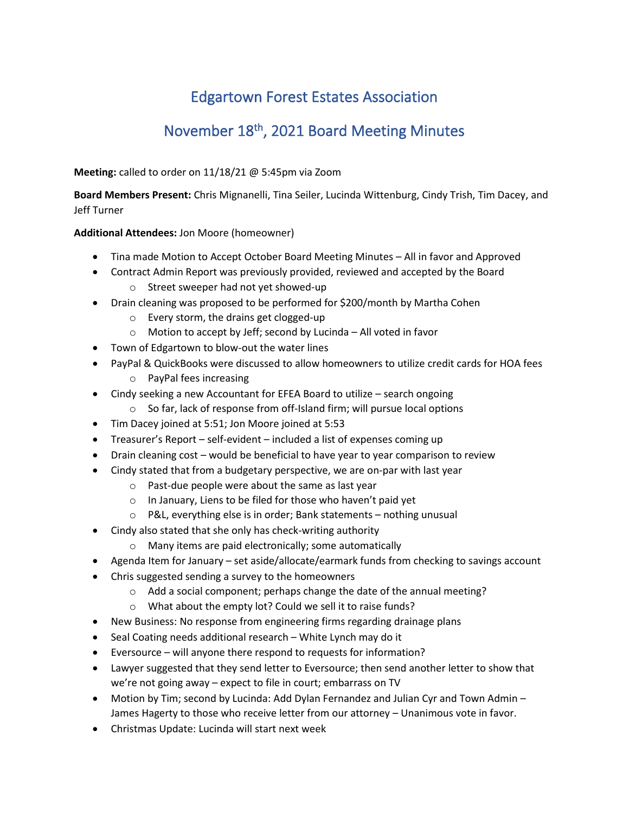## Edgartown Forest Estates Association

## November 18<sup>th</sup>, 2021 Board Meeting Minutes

**Meeting:** called to order on 11/18/21 @ 5:45pm via Zoom

**Board Members Present:** Chris Mignanelli, Tina Seiler, Lucinda Wittenburg, Cindy Trish, Tim Dacey, and Jeff Turner

## **Additional Attendees:** Jon Moore (homeowner)

- Tina made Motion to Accept October Board Meeting Minutes All in favor and Approved
- Contract Admin Report was previously provided, reviewed and accepted by the Board
	- o Street sweeper had not yet showed-up
- Drain cleaning was proposed to be performed for \$200/month by Martha Cohen
	- o Every storm, the drains get clogged-up
	- o Motion to accept by Jeff; second by Lucinda All voted in favor
- Town of Edgartown to blow-out the water lines
- PayPal & QuickBooks were discussed to allow homeowners to utilize credit cards for HOA fees
	- o PayPal fees increasing
- Cindy seeking a new Accountant for EFEA Board to utilize search ongoing
	- o So far, lack of response from off-Island firm; will pursue local options
- Tim Dacey joined at 5:51; Jon Moore joined at 5:53
- Treasurer's Report self-evident included a list of expenses coming up
- Drain cleaning cost would be beneficial to have year to year comparison to review
- Cindy stated that from a budgetary perspective, we are on-par with last year
	- o Past-due people were about the same as last year
	- o In January, Liens to be filed for those who haven't paid yet
	- o P&L, everything else is in order; Bank statements nothing unusual
- Cindy also stated that she only has check-writing authority
	- o Many items are paid electronically; some automatically
- Agenda Item for January set aside/allocate/earmark funds from checking to savings account
- Chris suggested sending a survey to the homeowners
	- o Add a social component; perhaps change the date of the annual meeting?
	- o What about the empty lot? Could we sell it to raise funds?
- New Business: No response from engineering firms regarding drainage plans
- Seal Coating needs additional research White Lynch may do it
- Eversource will anyone there respond to requests for information?
- Lawyer suggested that they send letter to Eversource; then send another letter to show that we're not going away – expect to file in court; embarrass on TV
- Motion by Tim; second by Lucinda: Add Dylan Fernandez and Julian Cyr and Town Admin James Hagerty to those who receive letter from our attorney – Unanimous vote in favor.
- Christmas Update: Lucinda will start next week